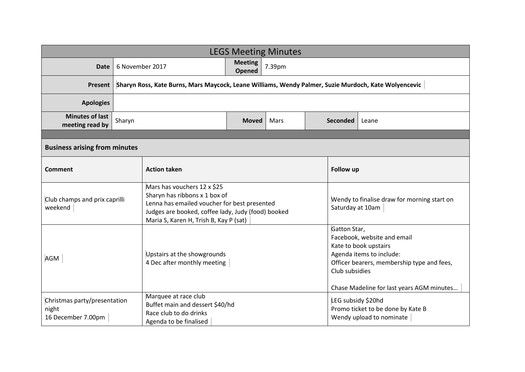| <b>LEGS Meeting Minutes</b>                                 |                 |                                                                                                                                                                                                              |                          |        |                 |                                                                                                                                                                                                               |       |  |
|-------------------------------------------------------------|-----------------|--------------------------------------------------------------------------------------------------------------------------------------------------------------------------------------------------------------|--------------------------|--------|-----------------|---------------------------------------------------------------------------------------------------------------------------------------------------------------------------------------------------------------|-------|--|
| <b>Date</b>                                                 | 6 November 2017 |                                                                                                                                                                                                              | <b>Meeting</b><br>Opened | 7.39pm |                 |                                                                                                                                                                                                               |       |  |
| <b>Present</b>                                              |                 | Sharyn Ross, Kate Burns, Mars Maycock, Leane Williams, Wendy Palmer, Suzie Murdoch, Kate Wolyencevic                                                                                                         |                          |        |                 |                                                                                                                                                                                                               |       |  |
| <b>Apologies</b>                                            |                 |                                                                                                                                                                                                              |                          |        |                 |                                                                                                                                                                                                               |       |  |
| <b>Minutes of last</b><br>meeting read by                   | Sharyn          |                                                                                                                                                                                                              | <b>Moved</b>             | Mars   | <b>Seconded</b> |                                                                                                                                                                                                               | Leane |  |
|                                                             |                 |                                                                                                                                                                                                              |                          |        |                 |                                                                                                                                                                                                               |       |  |
| <b>Business arising from minutes</b>                        |                 |                                                                                                                                                                                                              |                          |        |                 |                                                                                                                                                                                                               |       |  |
| Comment                                                     |                 | <b>Action taken</b>                                                                                                                                                                                          |                          |        |                 | Follow up                                                                                                                                                                                                     |       |  |
| Club champs and prix caprilli<br>weekend                    |                 | Mars has vouchers 12 x \$25<br>Sharyn has ribbons x 1 box of<br>Lenna has emailed voucher for best presented<br>Judges are booked, coffee lady, Judy (food) booked<br>Maria S, Karen H, Trish B, Kay P (sat) |                          |        |                 | Wendy to finalise draw for morning start on<br>Saturday at 10am                                                                                                                                               |       |  |
| AGM                                                         |                 | Upstairs at the showgrounds<br>4 Dec after monthly meeting                                                                                                                                                   |                          |        |                 | Gatton Star,<br>Facebook, website and email<br>Kate to book upstairs<br>Agenda items to include:<br>Officer bearers, membership type and fees,<br>Club subsidies<br>Chase Madeline for last years AGM minutes |       |  |
| Christmas party/presentation<br>night<br>16 December 7.00pm |                 | Marquee at race club<br>Buffet main and dessert \$40/hd<br>Race club to do drinks<br>Agenda to be finalised                                                                                                  |                          |        |                 | LEG subsidy \$20hd<br>Promo ticket to be done by Kate B<br>Wendy upload to nominate                                                                                                                           |       |  |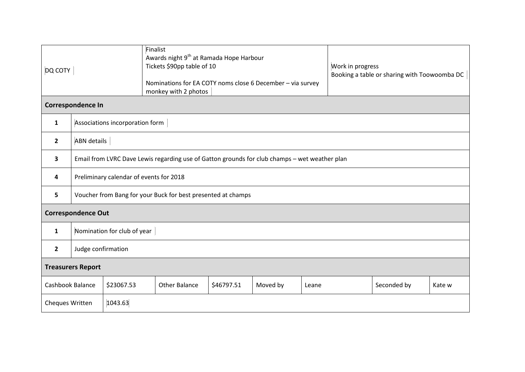| DQ COTY                   |                                                                                               |            | Finalist<br>Awards night 9 <sup>th</sup> at Ramada Hope Harbour<br>Tickets \$90pp table of 10<br>Nominations for EA COTY noms close 6 December - via survey<br>monkey with 2 photos |            |          | Work in progress<br>Booking a table or sharing with Toowoomba DC |  |             |        |  |
|---------------------------|-----------------------------------------------------------------------------------------------|------------|-------------------------------------------------------------------------------------------------------------------------------------------------------------------------------------|------------|----------|------------------------------------------------------------------|--|-------------|--------|--|
| Correspondence In         |                                                                                               |            |                                                                                                                                                                                     |            |          |                                                                  |  |             |        |  |
| 1                         | Associations incorporation form                                                               |            |                                                                                                                                                                                     |            |          |                                                                  |  |             |        |  |
| $\overline{2}$            | <b>ABN</b> details                                                                            |            |                                                                                                                                                                                     |            |          |                                                                  |  |             |        |  |
| 3                         | Email from LVRC Dave Lewis regarding use of Gatton grounds for club champs - wet weather plan |            |                                                                                                                                                                                     |            |          |                                                                  |  |             |        |  |
| 4                         | Preliminary calendar of events for 2018                                                       |            |                                                                                                                                                                                     |            |          |                                                                  |  |             |        |  |
| 5                         | Voucher from Bang for your Buck for best presented at champs                                  |            |                                                                                                                                                                                     |            |          |                                                                  |  |             |        |  |
| <b>Correspondence Out</b> |                                                                                               |            |                                                                                                                                                                                     |            |          |                                                                  |  |             |        |  |
| 1                         | Nomination for club of year                                                                   |            |                                                                                                                                                                                     |            |          |                                                                  |  |             |        |  |
| $\overline{2}$            | Judge confirmation                                                                            |            |                                                                                                                                                                                     |            |          |                                                                  |  |             |        |  |
| <b>Treasurers Report</b>  |                                                                                               |            |                                                                                                                                                                                     |            |          |                                                                  |  |             |        |  |
| Cashbook Balance          |                                                                                               | \$23067.53 | <b>Other Balance</b>                                                                                                                                                                | \$46797.51 | Moved by | Leane                                                            |  | Seconded by | Kate w |  |
| Cheques Written           |                                                                                               | 1043.63    |                                                                                                                                                                                     |            |          |                                                                  |  |             |        |  |